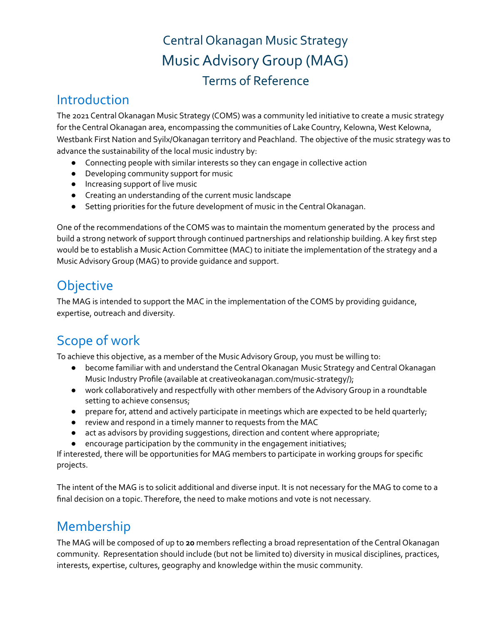# Central Okanagan Music Strategy MusicAdvisoryGroup (MAG) Terms of Reference

### Introduction

The 2021 Central Okanagan Music Strategy (COMS) was a community led initiative to create a music strategy for the Central Okanagan area, encompassing the communities of Lake Country, Kelowna, West Kelowna, Westbank First Nation and Syilx/Okanagan territory and Peachland. The objective of the music strategy was to advance the sustainability of the local music industry by:

- Connecting people with similar interests so they can engage in collective action
- Developing community support for music
- Increasing support of live music
- Creating an understanding of the current music landscape
- Setting priorities for the future development of music in the Central Okanagan.

One of the recommendations of the COMS was to maintain the momentum generated by the process and build a strong network of support through continued partnerships and relationship building.A key first step would be to establish a Music Action Committee (MAC) to initiate the implementation of the strategy and a MusicAdvisoryGroup (MAG) to provide guidance and support.

## **Objective**

The MAG is intended to support the MAC in the implementation of the COMS by providing guidance, expertise, outreach and diversity.

# Scope of work

To achieve this objective, as a member of the Music Advisory Group, you must be willing to:

- become familiar with and understand the Central Okanagan Music Strategy and Central Okanagan Music Industry Profile (available at creativeokanagan.com/music-strategy/);
- work collaboratively and respectfully with other members of theAdvisoryGroup in a roundtable setting to achieve consensus;
- prepare for, attend and actively participate in meetings which are expected to be held quarterly;
- review and respond in a timely manner to requests from the MAC
- act as advisors by providing suggestions, direction and content where appropriate;
- encourage participation by the community in the engagement initiatives;

If interested, there will be opportunities for MAG members to participate in working groups for specific projects.

The intent of the MAG is to solicit additional and diverse input. It is not necessary for the MAG to come to a final decision on a topic. Therefore, the need to make motions and vote is not necessary.

## Membership

The MAG will be composed of up to **20** members reflecting a broad representation of the Central Okanagan community. Representation should include (but not be limited to) diversity in musical disciplines, practices, interests, expertise, cultures, geography and knowledge within the music community.